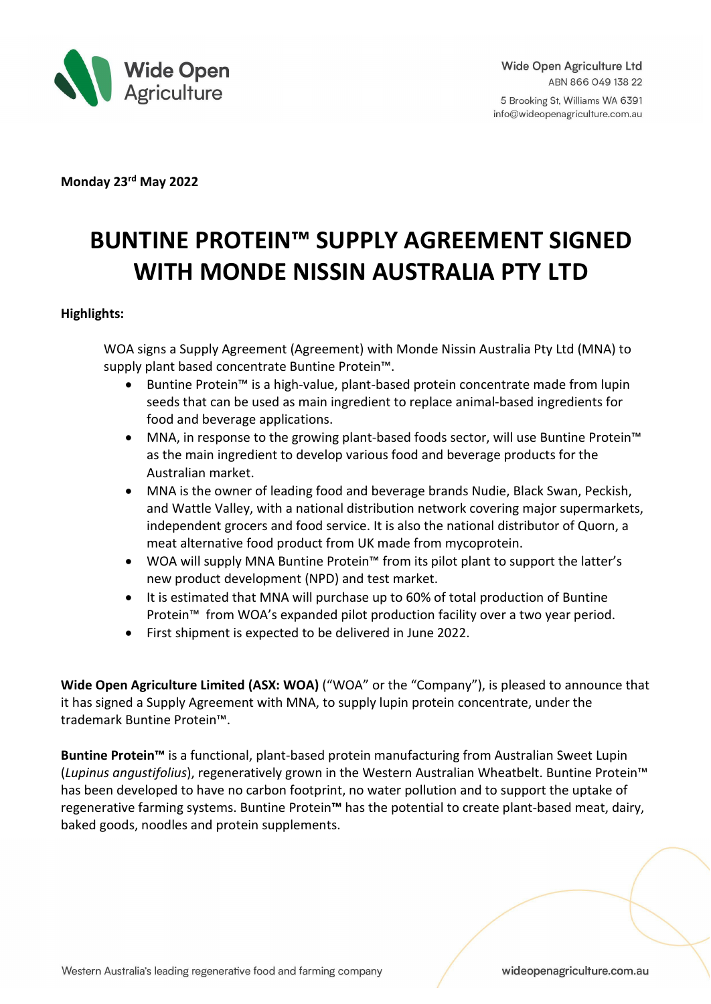

5 Brooking St, Williams WA 6391 info@wideopenagriculture.com.au

**Monday 23rd May 2022** 

# **BUNTINE PROTEIN™ SUPPLY AGREEMENT SIGNED WITH MONDE NISSIN AUSTRALIA PTY LTD**

### **Highlights:**

WOA signs a Supply Agreement (Agreement) with Monde Nissin Australia Pty Ltd (MNA) to supply plant based concentrate Buntine Protein™.

- Buntine Protein™ is a high-value, plant-based protein concentrate made from lupin seeds that can be used as main ingredient to replace animal-based ingredients for food and beverage applications.
- MNA, in response to the growing plant-based foods sector, will use Buntine Protein™ as the main ingredient to develop various food and beverage products for the Australian market.
- MNA is the owner of leading food and beverage brands Nudie, Black Swan, Peckish, and Wattle Valley, with a national distribution network covering major supermarkets, independent grocers and food service. It is also the national distributor of Quorn, a meat alternative food product from UK made from mycoprotein.
- WOA will supply MNA Buntine Protein™ from its pilot plant to support the latter's new product development (NPD) and test market.
- It is estimated that MNA will purchase up to 60% of total production of Buntine Protein™ from WOA's expanded pilot production facility over a two year period.
- First shipment is expected to be delivered in June 2022.

**Wide Open Agriculture Limited (ASX: WOA)** ("WOA" or the "Company"), is pleased to announce that it has signed a Supply Agreement with MNA, to supply lupin protein concentrate, under the trademark Buntine Protein™.

**Buntine Protein™** is a functional, plant-based protein manufacturing from Australian Sweet Lupin (*Lupinus angustifolius*), regeneratively grown in the Western Australian Wheatbelt. Buntine Protein™ has been developed to have no carbon footprint, no water pollution and to support the uptake of regenerative farming systems. Buntine Protein**™** has the potential to create plant-based meat, dairy, baked goods, noodles and protein supplements.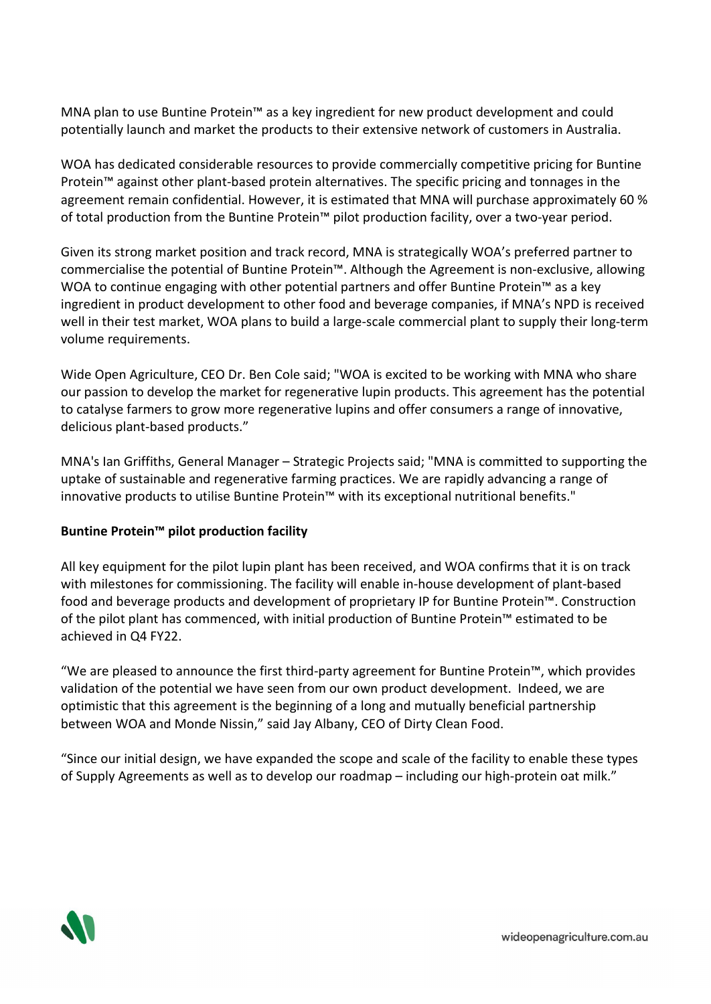MNA plan to use Buntine Protein™ as a key ingredient for new product development and could potentially launch and market the products to their extensive network of customers in Australia.

WOA has dedicated considerable resources to provide commercially competitive pricing for Buntine Protein™ against other plant-based protein alternatives. The specific pricing and tonnages in the agreement remain confidential. However, it is estimated that MNA will purchase approximately 60 % of total production from the Buntine Protein™ pilot production facility, over a two-year period.

Given its strong market position and track record, MNA is strategically WOA's preferred partner to commercialise the potential of Buntine Protein™. Although the Agreement is non-exclusive, allowing WOA to continue engaging with other potential partners and offer Buntine Protein<sup>™</sup> as a key ingredient in product development to other food and beverage companies, if MNA's NPD is received well in their test market, WOA plans to build a large-scale commercial plant to supply their long-term volume requirements.

Wide Open Agriculture, CEO Dr. Ben Cole said; "WOA is excited to be working with MNA who share our passion to develop the market for regenerative lupin products. This agreement has the potential to catalyse farmers to grow more regenerative lupins and offer consumers a range of innovative, delicious plant-based products."

MNA's Ian Griffiths, General Manager – Strategic Projects said; "MNA is committed to supporting the uptake of sustainable and regenerative farming practices. We are rapidly advancing a range of innovative products to utilise Buntine Protein™ with its exceptional nutritional benefits."

# **Buntine Protein™ pilot production facility**

All key equipment for the pilot lupin plant has been received, and WOA confirms that it is on track with milestones for commissioning. The facility will enable in-house development of plant-based food and beverage products and development of proprietary IP for Buntine Protein™. Construction of the pilot plant has commenced, with initial production of Buntine Protein™ estimated to be achieved in Q4 FY22.

"We are pleased to announce the first third-party agreement for Buntine Protein™, which provides validation of the potential we have seen from our own product development. Indeed, we are optimistic that this agreement is the beginning of a long and mutually beneficial partnership between WOA and Monde Nissin," said Jay Albany, CEO of Dirty Clean Food.

"Since our initial design, we have expanded the scope and scale of the facility to enable these types of Supply Agreements as well as to develop our roadmap – including our high-protein oat milk."

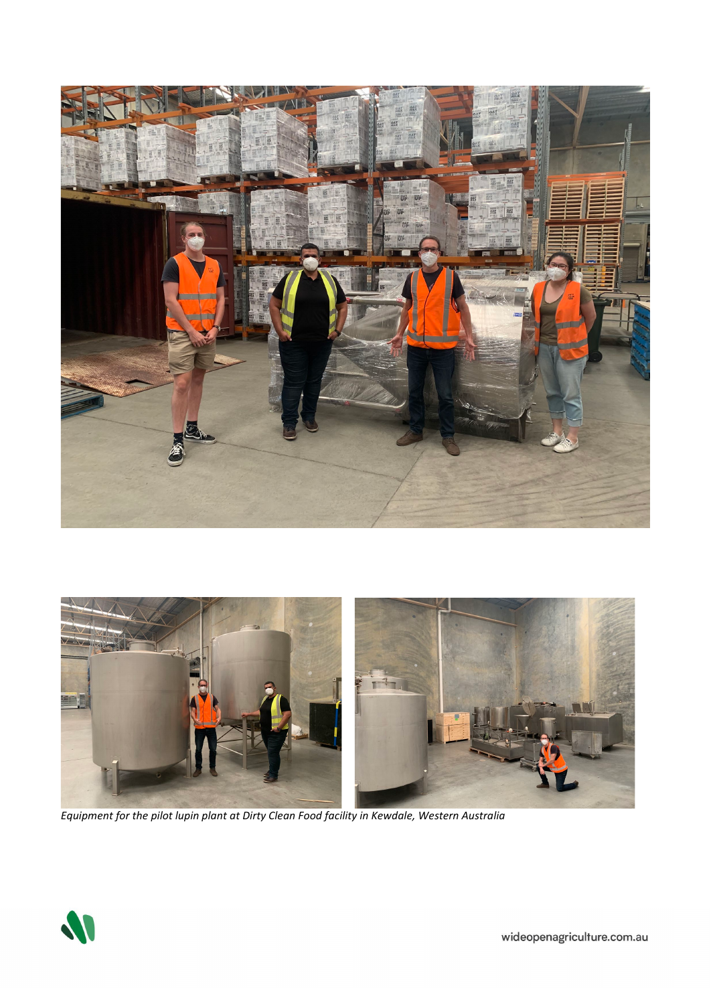



*Equipment for the pilot lupin plant at Dirty Clean Food facility in Kewdale, Western Australia*